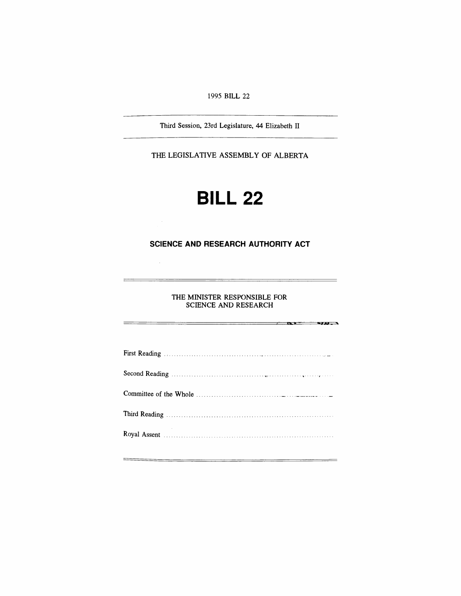#### *1995 BILL 22*

*Third Session, 23rd Legislature, 44 Elizabeth II*

*THE LEGISLATIVE ASSEMBLY OF ALBERTA*

# *BILL 22*

### *SCIENCE AND RESEARCH AUTHORITY ACT*

 $\sim$ 

 $\equiv$ 

 $\equiv$   $\equiv$   $\equiv$ 

*THE MINISTER RESPONSIBLE FOR SCIENCE AND RESEARCH*

 $\sim$   $\sim$   $\sim$   $\sim$   $\sim$   $\sim$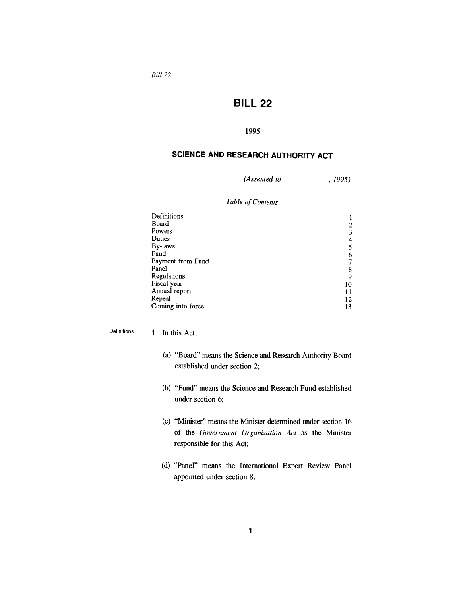*Bill 22*

## *BILL 22*

#### *1995*

## *SCIENCE AND RESEARCH AUTHORITY ACT*

*(Assented to , 1995)*

#### *Table ofContents*

| Definitions       |    |
|-------------------|----|
| Board             |    |
| Powers            |    |
| Duties            |    |
| By-laws           |    |
| Fund              | 6  |
| Payment from Fund |    |
| Panel             | 8  |
| Regulations       | 9  |
| Fiscal year       | 10 |
| Annual report     |    |
| Repeal            | 12 |
| Coming into force | 13 |

*Definitions <sup>1</sup> In this Act,*

- *(a) "Board" means the Science and Research Authority Board established under section 2;*
- *(b) "Fund" means the Science and Research Fund established under section 6;*
- *(c) "Minister" means the Minister determined under section 16 of the Government Organization Act as the Minister responsible for this Act;*
- *(d) "Panel" means the International Expert Review Panel appointed under section 8.*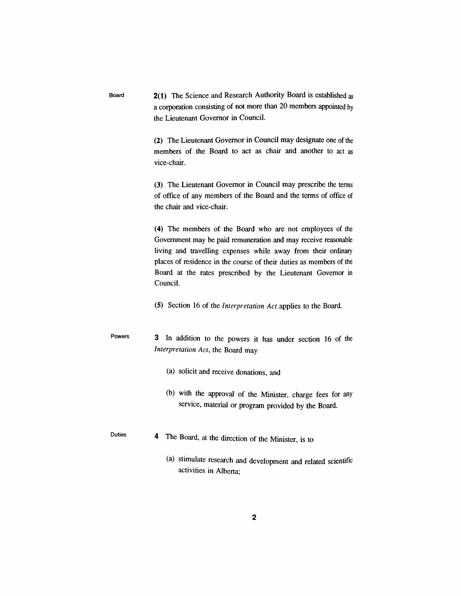*Board 2(1) The Science and Research Authority Board is established as a corporation consisting of not more than 20 members appointed by the Lieutenant Governor in Council.*

> *(2) The Lieutenant Governor in Council may designate one of the members of the Board to act as chair and another to act as vice-chair.*

> *(3) The Lieutenant Governor in Council may prescribe the terms of office of any members of the Board and the terms of office of the chair and vice-chair.*

> *(4) The members of the Board who are not employees of the Government may be paid remuneration and may receive reasonable living and travelling expenses while away from their ordinary places of residence in the course of their duties as members of the Board at the rates prescribed by the Lieutenant Governor in Council.*

*(5) Section 16 of the Interpretation Act applies to the Board.*

*Powers 3 In addition to the powers it has under section 16 of the Interpretation Act, the Board may*

- *(a) solicit and receive donations, and*
- *(b) with the approval of the Minister, charge fees for any service, material or program provided by the Board.*
- *4 The Board, at the direction of the Minister, is to*

*Duties*

*(a) stimulate research and development and related scientific activities in Alberta;*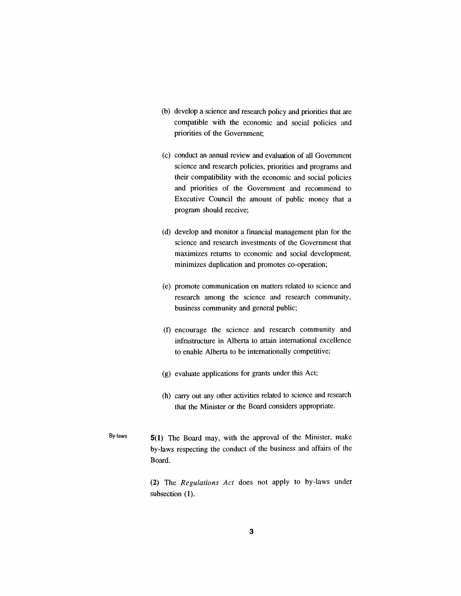- *(b) develop a science and research policy and priorities that are compatible with the economic and social policies and priorities of the Government;*
- *(c) conduct an annual review and evaluation of all Government science and research policies, priorities and programs and their compatibility with the economic and social policies and priorities of the Government and recommend to Executive Council the amount of public money that a program should receive;*
- *(d) develop and monitor a financial management plan for the science and research investments of the Government that maximizes returns to economic and social development, minimizes duplication and promotes co-operation;*
- *(e) promote communication on matters related to science and research among the science and research community, business community and general public;*
- *(f) encourage the science and research community and infrastructure in Alberta to attain international excellence to enable Alberta to be internationally competitive;*
- *(g) evaluate applications for grants under this Act;*
- *(h) carry out any other activities related to science and research that the Minister or the Board considers appropriate.*
- *By-laws 5(1) The Board may, with the approval of the Minister, make by-laws respecting the conduct of the business and affairs of the Board.*

*(2) The Regulations Act does not apply to by-laws under subsection (1).*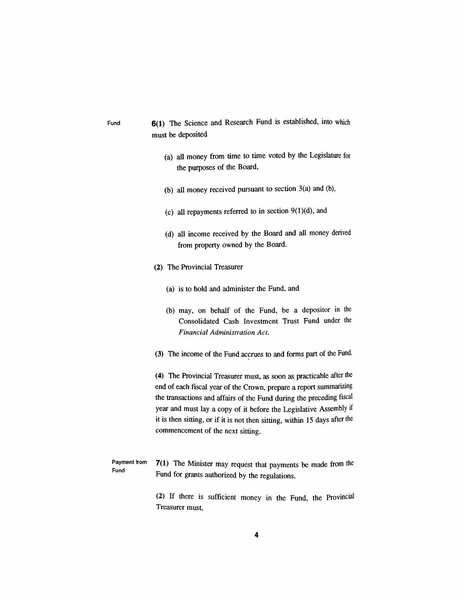## *Fund 6(1) The Science and Research Fund is established, into which must be deposited*

- *(a) all money from time to time voted by the Legislature for the purposes of the Board,*
- *(b) all money received pursuant to section 3(a) and (b),*
- *(c) all repayments referred to in section 9(l)(d), and*
- *(d) all income received by the Board and all money derived from property owned by the Board.*
- *(2) The Provincial Treasurer*
	- *(a) is to hold and administer the Fund, and*
	- *(b) may, on behalf of the Fund, be a depositor in the Consolidated Cash Investment Trust Fund under the Financial Administration Act.*
- *(3) The income of the Fund accrues to and forms part of the Fund.*

*(4) The Provincial Treasurer must, as soon as practicable after the end of each fiscal year of the Crown, prepare a report summarizing the transactions and affairs of the Fund during the preceding fiscal year and must lay a copy of it before the Legislative Assembly if it is then sitting, or if it is not then sitting, within 15 days after the commencement of the next sitting.*

*Payment from Fund 7(1) The Minister may request that payments be made from the Fund for grants authorized by the regulations.*

> *(2) If there is sufficient money in the Fund, the Provincial Treasurer must,*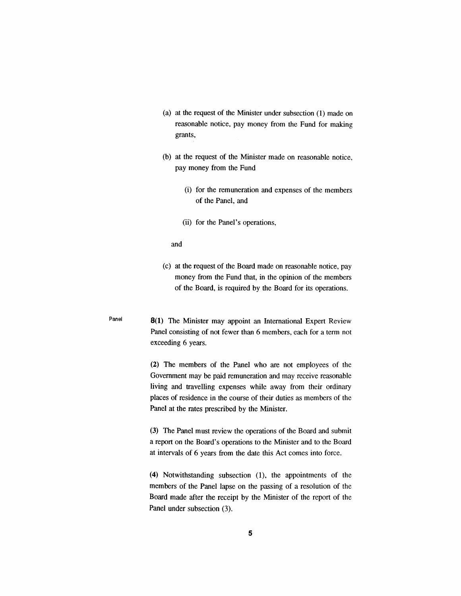- *(a) at the request of the Minister under subsection (1) made on reasonable notice, pay money from the Fund for making grants,*
- *(b) at the request of the Minister made on reasonable notice, pay money from the Fund*
	- *(i) for the remuneration and expenses of the members of the Panel, and*
	- *(ii) for the Panel's operations,*

*and*

- *(c) at the request of the Board made on reasonable notice, pay money from the Fund that, in the opinion of the members of the Board, is required by the Board for its operations.*
- *Panel 8(1) The Minister may appoint an International Expert Review Panel consisting of not fewer than 6 members, each for a term not exceeding 6 years.*

*(2) The members of the Panel who are not employees of the Government may be paid remuneration and may receive reasonable living and travelling expenses while away from their ordinary places of residence in the course of their duties as members of the Panel at the rates prescribed by the Minister.*

*(3) The Panel must review the operations of the Board and submit a report on the Board's operations to the Minister and to the Board at intervals of 6 years from the date this Act comes into force.*

*(4) Notwithstanding subsection (1), the appointments of the members of the Panel lapse on the passing of a resolution of the Board made after the receipt by the Minister of the report of the Panel under subsection (3).*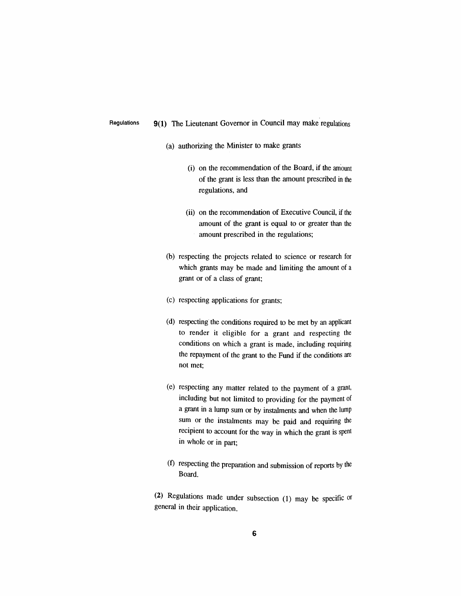#### *Regulations 9(1) The Lieutenant Governor in Council may make regulations*

- *(a) authorizing the Minister to make grants*
	- *(i) on the recommendation of the Board, if the amount of the grant is less than the amount prescribed in the regulations, and*
	- *(ii) on the recommendation of Executive Council, if the amount of the grant is equal to or greater than the amount prescribed in the regulations;*
- *(b) respecting the projects related to science or research for which grants may be made and limiting the amount of a grant or of a class of grant;*
- *(c) respecting applications for grants;*
- *(d) respecting the conditions required to be met by an applicant to render it eligible for a grant and respecting the conditions on which a grant is made, including requiring the repayment of the grant to the Fund if the conditions are not met;*
- *(e) respecting any matter related to the payment of a grant, including but not limited to providing for the payment of a grant in a lump sum or by instalments and when the lump sum or the instalments may be paid and requiring the recipient to account for the way in which the grant is spent in whole or in part;*
- *(f) respecting the preparation and submission of reports by the Board.*

*(2) Regulations made under subsection (1) may be specific or general in their application.*